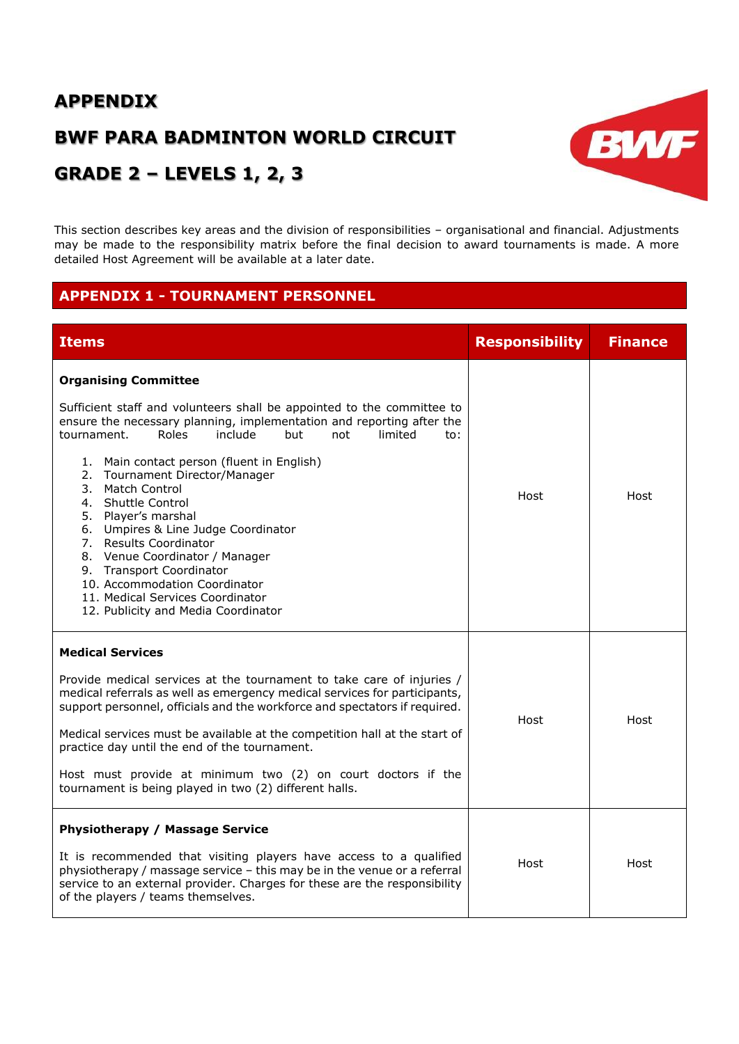# **APPENDIX**

# **BWF PARA BADMINTON WORLD CIRCUIT**

# **GRADE 2 – LEVELS 1, 2, 3**

This section describes key areas and the division of responsibilities – organisational and financial. Adjustments may be made to the responsibility matrix before the final decision to award tournaments is made. A more detailed Host Agreement will be available at a later date.

BWF

# **APPENDIX 1 - TOURNAMENT PERSONNEL**

| <b>Items</b>                                                                                                                                                                                                                                                                                                                                                                                                                                                                                                                                                                                                                                                  | <b>Responsibility</b> | <b>Finance</b> |
|---------------------------------------------------------------------------------------------------------------------------------------------------------------------------------------------------------------------------------------------------------------------------------------------------------------------------------------------------------------------------------------------------------------------------------------------------------------------------------------------------------------------------------------------------------------------------------------------------------------------------------------------------------------|-----------------------|----------------|
| <b>Organising Committee</b><br>Sufficient staff and volunteers shall be appointed to the committee to<br>ensure the necessary planning, implementation and reporting after the<br>Roles<br>include<br>tournament.<br>but<br>limited<br>not<br>to:<br>1. Main contact person (fluent in English)<br>2. Tournament Director/Manager<br>3.<br>Match Control<br><b>Shuttle Control</b><br>4.<br>5. Player's marshal<br>Umpires & Line Judge Coordinator<br>6.<br>7. Results Coordinator<br>8. Venue Coordinator / Manager<br>9. Transport Coordinator<br>10. Accommodation Coordinator<br>11. Medical Services Coordinator<br>12. Publicity and Media Coordinator | Host                  | Host           |
| <b>Medical Services</b><br>Provide medical services at the tournament to take care of injuries /<br>medical referrals as well as emergency medical services for participants,<br>support personnel, officials and the workforce and spectators if required.<br>Medical services must be available at the competition hall at the start of<br>practice day until the end of the tournament.<br>Host must provide at minimum two (2) on court doctors if the<br>tournament is being played in two (2) different halls.                                                                                                                                          | Host                  | Host           |
| <b>Physiotherapy / Massage Service</b><br>It is recommended that visiting players have access to a qualified<br>physiotherapy / massage service - this may be in the venue or a referral<br>service to an external provider. Charges for these are the responsibility<br>of the players / teams themselves.                                                                                                                                                                                                                                                                                                                                                   | Host                  | Host           |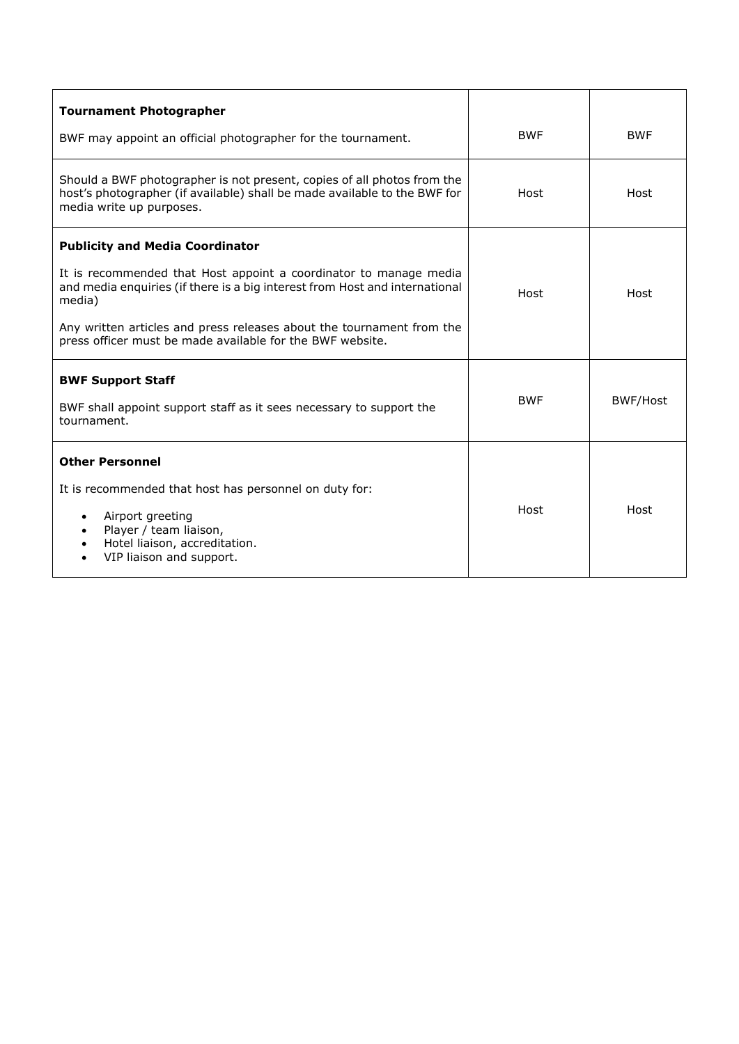| <b>Tournament Photographer</b>                                                                                                                                                   |            |            |
|----------------------------------------------------------------------------------------------------------------------------------------------------------------------------------|------------|------------|
| BWF may appoint an official photographer for the tournament.                                                                                                                     | <b>BWF</b> | <b>BWF</b> |
| Should a BWF photographer is not present, copies of all photos from the<br>host's photographer (if available) shall be made available to the BWF for<br>media write up purposes. | Host       | Host       |
| <b>Publicity and Media Coordinator</b>                                                                                                                                           |            |            |
| It is recommended that Host appoint a coordinator to manage media<br>and media enquiries (if there is a big interest from Host and international<br>media)                       | Host       | Host       |
| Any written articles and press releases about the tournament from the<br>press officer must be made available for the BWF website.                                               |            |            |
| <b>BWF Support Staff</b>                                                                                                                                                         |            |            |
| BWF shall appoint support staff as it sees necessary to support the<br>tournament.                                                                                               | <b>BWF</b> | BWF/Host   |
| <b>Other Personnel</b>                                                                                                                                                           |            |            |
| It is recommended that host has personnel on duty for:                                                                                                                           |            |            |
| Airport greeting<br>$\bullet$<br>Player / team liaison,<br>$\bullet$<br>Hotel liaison, accreditation.<br>$\bullet$<br>VIP liaison and support.                                   | Host       | Host       |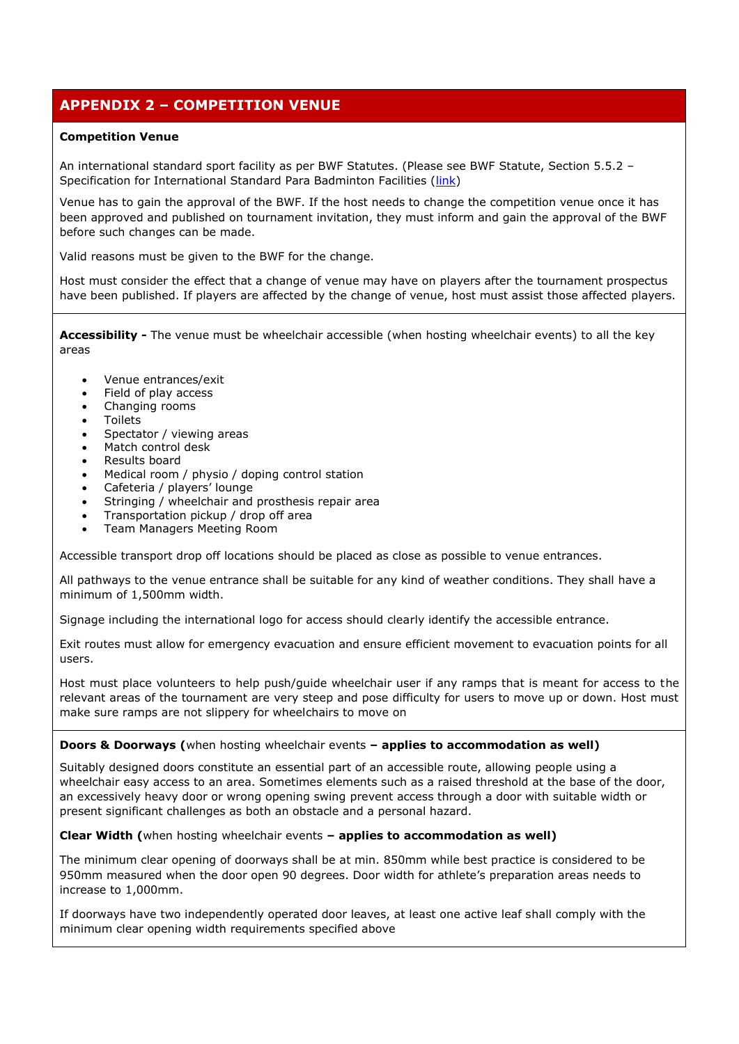# **APPENDIX 2 – COMPETITION VENUE**

# **Competition Venue**

An international standard sport facility as per BWF Statutes. (Please see BWF Statute, Section 5.5.2 – Specification for International Standard Para Badminton Facilities [\(link\)](http://bwfcorporate.com/statutes/)

Venue has to gain the approval of the BWF. If the host needs to change the competition venue once it has been approved and published on tournament invitation, they must inform and gain the approval of the BWF before such changes can be made.

Valid reasons must be given to the BWF for the change.

Host must consider the effect that a change of venue may have on players after the tournament prospectus have been published. If players are affected by the change of venue, host must assist those affected players.

**Accessibility -** The venue must be wheelchair accessible (when hosting wheelchair events) to all the key areas

- Venue entrances/exit
- Field of play access
- Changing rooms
- Toilets
- Spectator / viewing areas
- Match control desk
- Results board
- Medical room / physio / doping control station
- Cafeteria / players' lounge
- Stringing / wheelchair and prosthesis repair area
- Transportation pickup / drop off area
- Team Managers Meeting Room

Accessible transport drop off locations should be placed as close as possible to venue entrances.

All pathways to the venue entrance shall be suitable for any kind of weather conditions. They shall have a minimum of 1,500mm width.

Signage including the international logo for access should clearly identify the accessible entrance.

Exit routes must allow for emergency evacuation and ensure efficient movement to evacuation points for all users.

Host must place volunteers to help push/guide wheelchair user if any ramps that is meant for access to the relevant areas of the tournament are very steep and pose difficulty for users to move up or down. Host must make sure ramps are not slippery for wheelchairs to move on

# **Doors & Doorways (**when hosting wheelchair events **– applies to accommodation as well)**

Suitably designed doors constitute an essential part of an accessible route, allowing people using a wheelchair easy access to an area. Sometimes elements such as a raised threshold at the base of the door, an excessively heavy door or wrong opening swing prevent access through a door with suitable width or present significant challenges as both an obstacle and a personal hazard.

# **Clear Width (**when hosting wheelchair events **– applies to accommodation as well)**

The minimum clear opening of doorways shall be at min. 850mm while best practice is considered to be 950mm measured when the door open 90 degrees. Door width for athlete's preparation areas needs to increase to 1,000mm.

If doorways have two independently operated door leaves, at least one active leaf shall comply with the minimum clear opening width requirements specified above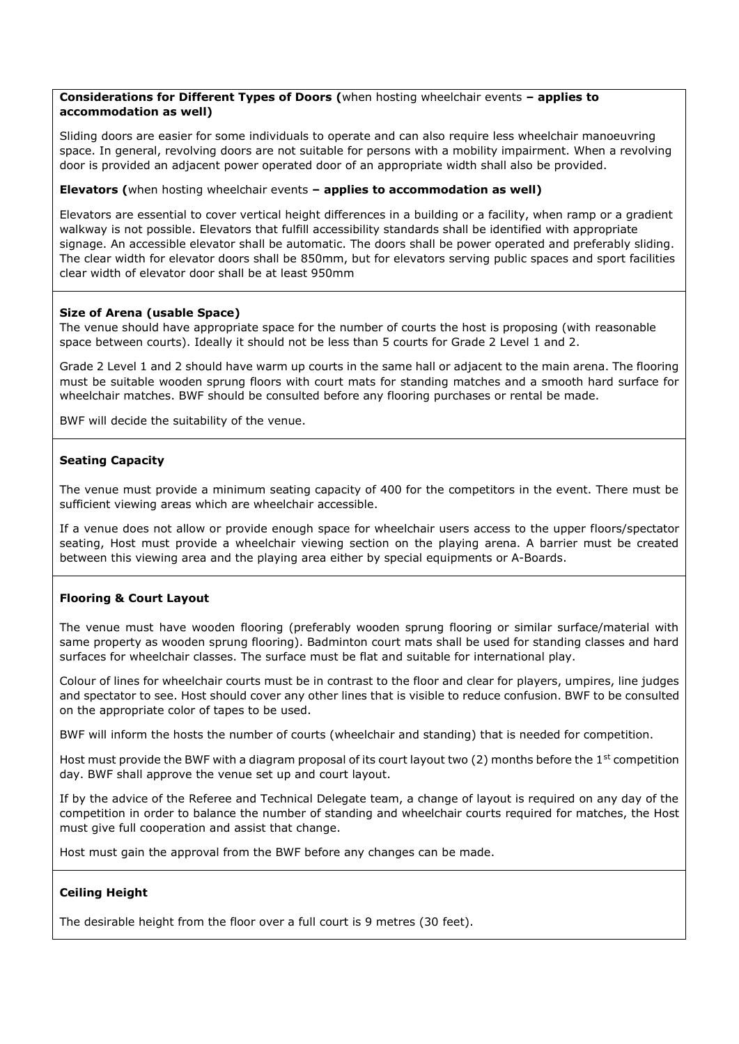# **Considerations for Different Types of Doors (**when hosting wheelchair events **– applies to accommodation as well)**

Sliding doors are easier for some individuals to operate and can also require less wheelchair manoeuvring space. In general, revolving doors are not suitable for persons with a mobility impairment. When a revolving door is provided an adjacent power operated door of an appropriate width shall also be provided.

# **Elevators (**when hosting wheelchair events **– applies to accommodation as well)**

Elevators are essential to cover vertical height differences in a building or a facility, when ramp or a gradient walkway is not possible. Elevators that fulfill accessibility standards shall be identified with appropriate signage. An accessible elevator shall be automatic. The doors shall be power operated and preferably sliding. The clear width for elevator doors shall be 850mm, but for elevators serving public spaces and sport facilities clear width of elevator door shall be at least 950mm

# **Size of Arena (usable Space)**

The venue should have appropriate space for the number of courts the host is proposing (with reasonable space between courts). Ideally it should not be less than 5 courts for Grade 2 Level 1 and 2.

Grade 2 Level 1 and 2 should have warm up courts in the same hall or adjacent to the main arena. The flooring must be suitable wooden sprung floors with court mats for standing matches and a smooth hard surface for wheelchair matches. BWF should be consulted before any flooring purchases or rental be made.

BWF will decide the suitability of the venue.

# **Seating Capacity**

The venue must provide a minimum seating capacity of 400 for the competitors in the event. There must be sufficient viewing areas which are wheelchair accessible.

If a venue does not allow or provide enough space for wheelchair users access to the upper floors/spectator seating, Host must provide a wheelchair viewing section on the playing arena. A barrier must be created between this viewing area and the playing area either by special equipments or A-Boards.

# **Flooring & Court Layout**

The venue must have wooden flooring (preferably wooden sprung flooring or similar surface/material with same property as wooden sprung flooring). Badminton court mats shall be used for standing classes and hard surfaces for wheelchair classes. The surface must be flat and suitable for international play.

Colour of lines for wheelchair courts must be in contrast to the floor and clear for players, umpires, line judges and spectator to see. Host should cover any other lines that is visible to reduce confusion. BWF to be consulted on the appropriate color of tapes to be used.

BWF will inform the hosts the number of courts (wheelchair and standing) that is needed for competition.

Host must provide the BWF with a diagram proposal of its court layout two (2) months before the 1<sup>st</sup> competition day. BWF shall approve the venue set up and court layout.

If by the advice of the Referee and Technical Delegate team, a change of layout is required on any day of the competition in order to balance the number of standing and wheelchair courts required for matches, the Host must give full cooperation and assist that change.

Host must gain the approval from the BWF before any changes can be made.

# **Ceiling Height**

The desirable height from the floor over a full court is 9 metres (30 feet).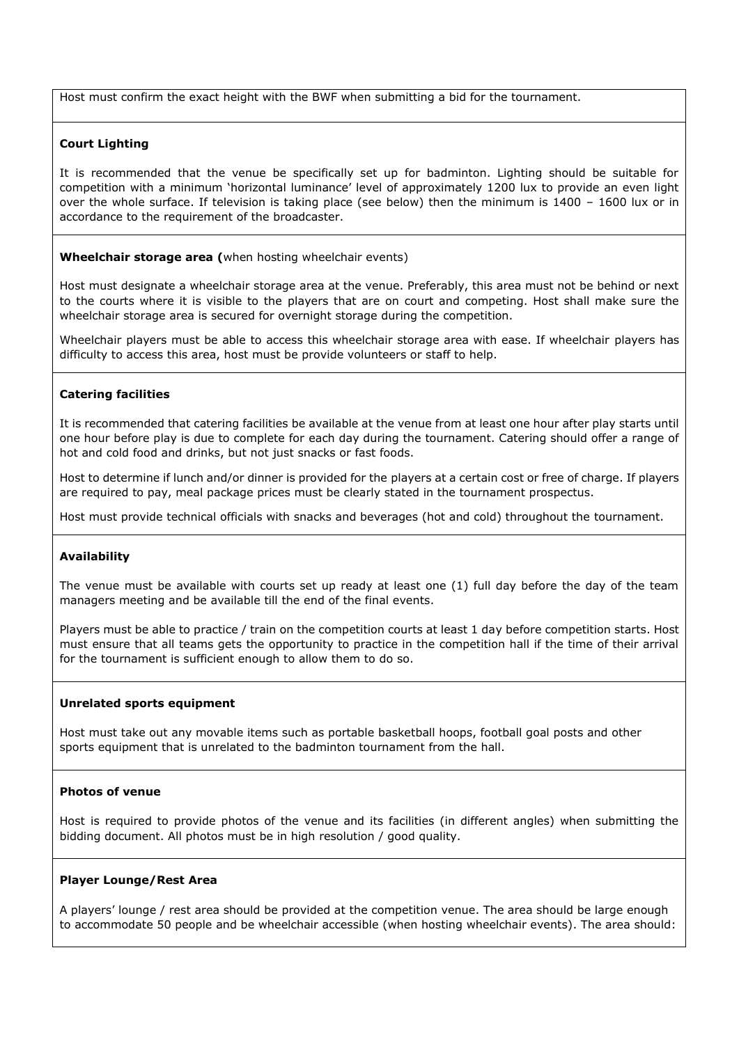Host must confirm the exact height with the BWF when submitting a bid for the tournament.

# **Court Lighting**

It is recommended that the venue be specifically set up for badminton. Lighting should be suitable for competition with a minimum 'horizontal luminance' level of approximately 1200 lux to provide an even light over the whole surface. If television is taking place (see below) then the minimum is 1400 – 1600 lux or in accordance to the requirement of the broadcaster.

**Wheelchair storage area (**when hosting wheelchair events)

Host must designate a wheelchair storage area at the venue. Preferably, this area must not be behind or next to the courts where it is visible to the players that are on court and competing. Host shall make sure the wheelchair storage area is secured for overnight storage during the competition.

Wheelchair players must be able to access this wheelchair storage area with ease. If wheelchair players has difficulty to access this area, host must be provide volunteers or staff to help.

# **Catering facilities**

It is recommended that catering facilities be available at the venue from at least one hour after play starts until one hour before play is due to complete for each day during the tournament. Catering should offer a range of hot and cold food and drinks, but not just snacks or fast foods.

Host to determine if lunch and/or dinner is provided for the players at a certain cost or free of charge. If players are required to pay, meal package prices must be clearly stated in the tournament prospectus.

Host must provide technical officials with snacks and beverages (hot and cold) throughout the tournament.

## **Availability**

The venue must be available with courts set up ready at least one (1) full day before the day of the team managers meeting and be available till the end of the final events.

Players must be able to practice / train on the competition courts at least 1 day before competition starts. Host must ensure that all teams gets the opportunity to practice in the competition hall if the time of their arrival for the tournament is sufficient enough to allow them to do so.

## **Unrelated sports equipment**

Host must take out any movable items such as portable basketball hoops, football goal posts and other sports equipment that is unrelated to the badminton tournament from the hall.

## **Photos of venue**

Host is required to provide photos of the venue and its facilities (in different angles) when submitting the bidding document. All photos must be in high resolution / good quality.

#### **Player Lounge/Rest Area**

A players' lounge / rest area should be provided at the competition venue. The area should be large enough to accommodate 50 people and be wheelchair accessible (when hosting wheelchair events). The area should: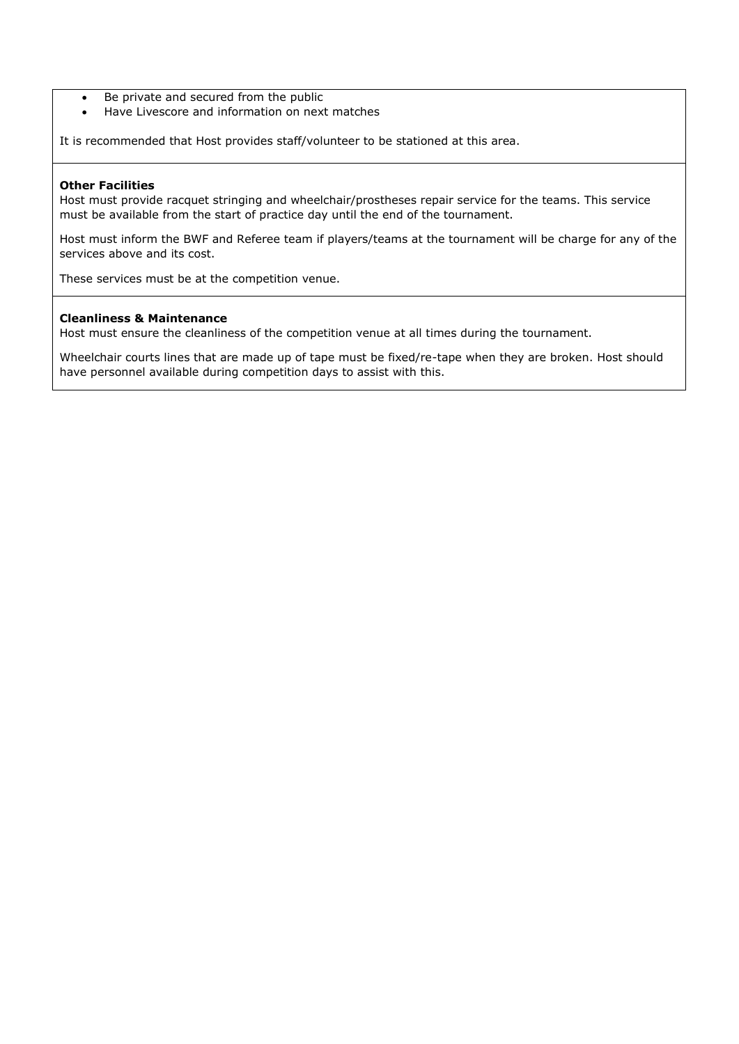- Be private and secured from the public
- Have Livescore and information on next matches

It is recommended that Host provides staff/volunteer to be stationed at this area.

# **Other Facilities**

Host must provide racquet stringing and wheelchair/prostheses repair service for the teams. This service must be available from the start of practice day until the end of the tournament.

Host must inform the BWF and Referee team if players/teams at the tournament will be charge for any of the services above and its cost.

These services must be at the competition venue.

# **Cleanliness & Maintenance**

Host must ensure the cleanliness of the competition venue at all times during the tournament.

Wheelchair courts lines that are made up of tape must be fixed/re-tape when they are broken. Host should have personnel available during competition days to assist with this.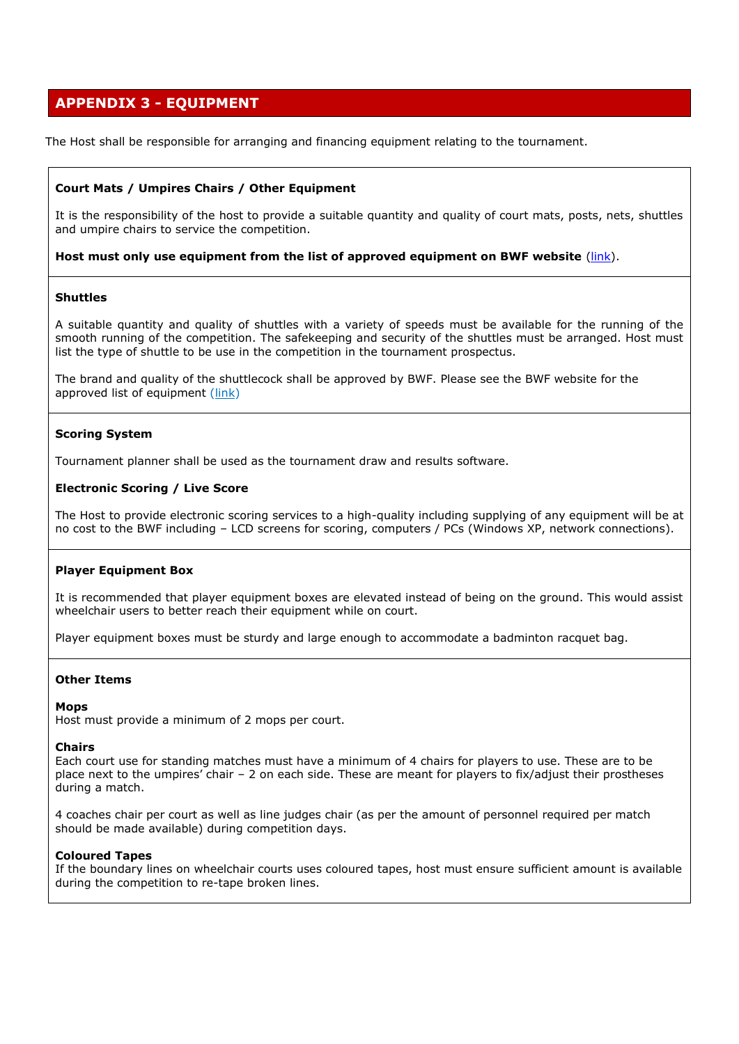# **APPENDIX 3 - EQUIPMENT**

The Host shall be responsible for arranging and financing equipment relating to the tournament.

# **Court Mats / Umpires Chairs / Other Equipment**

It is the responsibility of the host to provide a suitable quantity and quality of court mats, posts, nets, shuttles and umpire chairs to service the competition.

## **Host must only use equipment from the list of approved equipment on BWF website** [\(link\)](https://corporate.bwfbadminton.com/events/).

# **Shuttles**

A suitable quantity and quality of shuttles with a variety of speeds must be available for the running of the smooth running of the competition. The safekeeping and security of the shuttles must be arranged. Host must list the type of shuttle to be use in the competition in the tournament prospectus.

The brand and quality of the shuttlecock shall be approved by BWF. Please see the BWF website for the approved list of equipment [\(link\)](http://bwfcorporate.com/events/)

## **Scoring System**

Tournament planner shall be used as the tournament draw and results software.

# **Electronic Scoring / Live Score**

The Host to provide electronic scoring services to a high-quality including supplying of any equipment will be at no cost to the BWF including – LCD screens for scoring, computers / PCs (Windows XP, network connections).

## **Player Equipment Box**

It is recommended that player equipment boxes are elevated instead of being on the ground. This would assist wheelchair users to better reach their equipment while on court.

Player equipment boxes must be sturdy and large enough to accommodate a badminton racquet bag.

## **Other Items**

## **Mops**

Host must provide a minimum of 2 mops per court.

#### **Chairs**

Each court use for standing matches must have a minimum of 4 chairs for players to use. These are to be place next to the umpires' chair – 2 on each side. These are meant for players to fix/adjust their prostheses during a match.

4 coaches chair per court as well as line judges chair (as per the amount of personnel required per match should be made available) during competition days.

## **Coloured Tapes**

If the boundary lines on wheelchair courts uses coloured tapes, host must ensure sufficient amount is available during the competition to re-tape broken lines.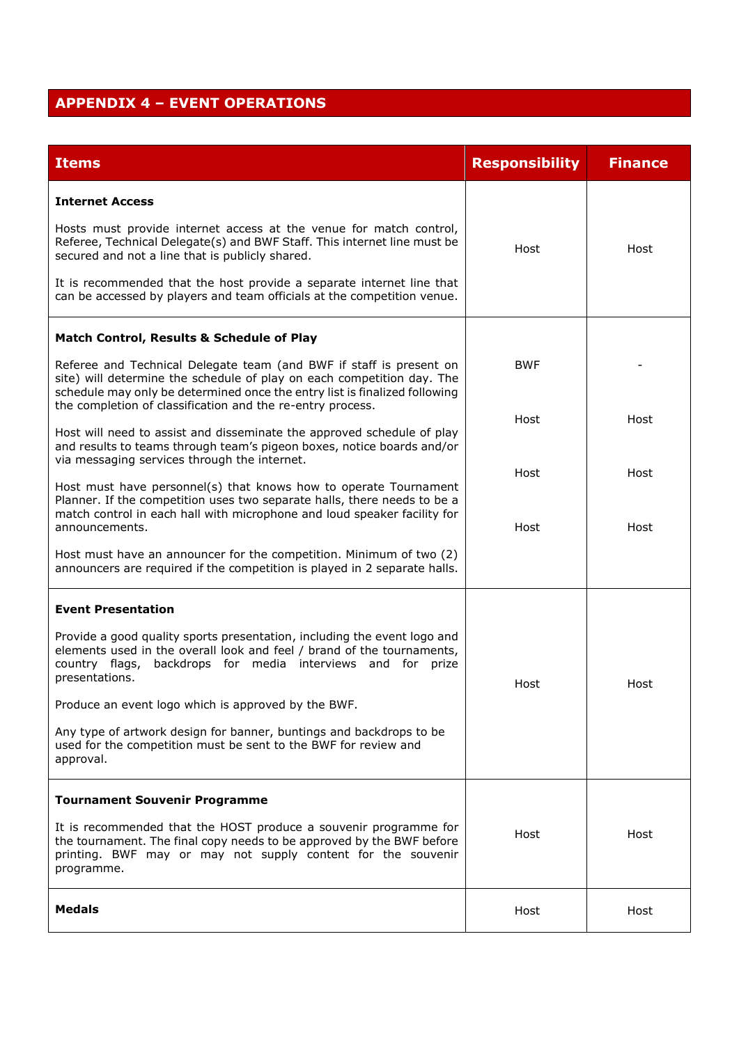# **APPENDIX 4 – EVENT OPERATIONS**

| <b>Items</b>                                                                                                                                                                                                                                                                              | <b>Responsibility</b> | <b>Finance</b> |
|-------------------------------------------------------------------------------------------------------------------------------------------------------------------------------------------------------------------------------------------------------------------------------------------|-----------------------|----------------|
| <b>Internet Access</b>                                                                                                                                                                                                                                                                    |                       |                |
| Hosts must provide internet access at the venue for match control,<br>Referee, Technical Delegate(s) and BWF Staff. This internet line must be<br>secured and not a line that is publicly shared.                                                                                         | Host                  | Host           |
| It is recommended that the host provide a separate internet line that<br>can be accessed by players and team officials at the competition venue.                                                                                                                                          |                       |                |
| Match Control, Results & Schedule of Play                                                                                                                                                                                                                                                 |                       |                |
| Referee and Technical Delegate team (and BWF if staff is present on<br>site) will determine the schedule of play on each competition day. The<br>schedule may only be determined once the entry list is finalized following<br>the completion of classification and the re-entry process. | <b>BWF</b>            |                |
| Host will need to assist and disseminate the approved schedule of play<br>and results to teams through team's pigeon boxes, notice boards and/or<br>via messaging services through the internet.                                                                                          | Host                  | Host           |
| Host must have personnel(s) that knows how to operate Tournament<br>Planner. If the competition uses two separate halls, there needs to be a<br>match control in each hall with microphone and loud speaker facility for<br>announcements.                                                | Host<br>Host          | Host<br>Host   |
| Host must have an announcer for the competition. Minimum of two (2)<br>announcers are required if the competition is played in 2 separate halls.                                                                                                                                          |                       |                |
| <b>Event Presentation</b>                                                                                                                                                                                                                                                                 |                       |                |
| Provide a good quality sports presentation, including the event logo and<br>elements used in the overall look and feel / brand of the tournaments,<br>country flags, backdrops for media interviews and for prize<br>presentations.                                                       | Host                  | Host           |
| Produce an event logo which is approved by the BWF.                                                                                                                                                                                                                                       |                       |                |
| Any type of artwork design for banner, buntings and backdrops to be<br>used for the competition must be sent to the BWF for review and<br>approval.                                                                                                                                       |                       |                |
| <b>Tournament Souvenir Programme</b>                                                                                                                                                                                                                                                      |                       |                |
| It is recommended that the HOST produce a souvenir programme for<br>the tournament. The final copy needs to be approved by the BWF before<br>printing. BWF may or may not supply content for the souvenir<br>programme.                                                                   | Host                  | Host           |
| <b>Medals</b>                                                                                                                                                                                                                                                                             | Host                  | Host           |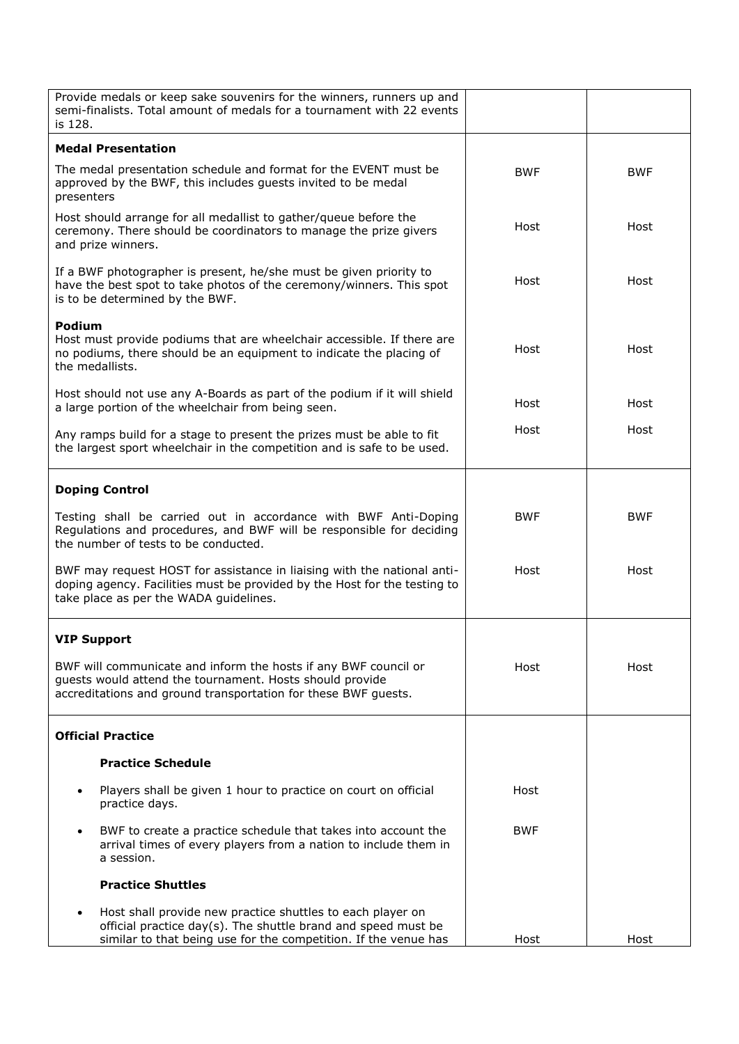| Provide medals or keep sake souvenirs for the winners, runners up and<br>semi-finalists. Total amount of medals for a tournament with 22 events<br>is 128.                                                  |            |            |
|-------------------------------------------------------------------------------------------------------------------------------------------------------------------------------------------------------------|------------|------------|
| <b>Medal Presentation</b>                                                                                                                                                                                   |            |            |
| The medal presentation schedule and format for the EVENT must be<br>approved by the BWF, this includes guests invited to be medal<br>presenters                                                             | <b>BWF</b> | <b>BWF</b> |
| Host should arrange for all medallist to gather/queue before the<br>ceremony. There should be coordinators to manage the prize givers<br>and prize winners.                                                 | Host       | Host       |
| If a BWF photographer is present, he/she must be given priority to<br>have the best spot to take photos of the ceremony/winners. This spot<br>is to be determined by the BWF.                               | Host       | Host       |
| Podium<br>Host must provide podiums that are wheelchair accessible. If there are<br>no podiums, there should be an equipment to indicate the placing of<br>the medallists.                                  | Host       | Host       |
| Host should not use any A-Boards as part of the podium if it will shield<br>a large portion of the wheelchair from being seen.                                                                              | Host       | Host       |
| Any ramps build for a stage to present the prizes must be able to fit<br>the largest sport wheelchair in the competition and is safe to be used.                                                            | Host       | Host       |
| <b>Doping Control</b>                                                                                                                                                                                       |            |            |
| Testing shall be carried out in accordance with BWF Anti-Doping<br>Regulations and procedures, and BWF will be responsible for deciding<br>the number of tests to be conducted.                             | <b>BWF</b> | <b>BWF</b> |
| BWF may request HOST for assistance in liaising with the national anti-<br>doping agency. Facilities must be provided by the Host for the testing to<br>take place as per the WADA guidelines.              | Host       | Host       |
| <b>VIP Support</b>                                                                                                                                                                                          |            |            |
| BWF will communicate and inform the hosts if any BWF council or<br>guests would attend the tournament. Hosts should provide<br>accreditations and ground transportation for these BWF guests.               | Host       | Host       |
| <b>Official Practice</b>                                                                                                                                                                                    |            |            |
| <b>Practice Schedule</b>                                                                                                                                                                                    |            |            |
| Players shall be given 1 hour to practice on court on official<br>$\bullet$<br>practice days.                                                                                                               | Host       |            |
| BWF to create a practice schedule that takes into account the<br>$\bullet$<br>arrival times of every players from a nation to include them in<br>a session.                                                 | <b>BWF</b> |            |
| <b>Practice Shuttles</b>                                                                                                                                                                                    |            |            |
| Host shall provide new practice shuttles to each player on<br>$\bullet$<br>official practice day(s). The shuttle brand and speed must be<br>similar to that being use for the competition. If the venue has | Host       | Host       |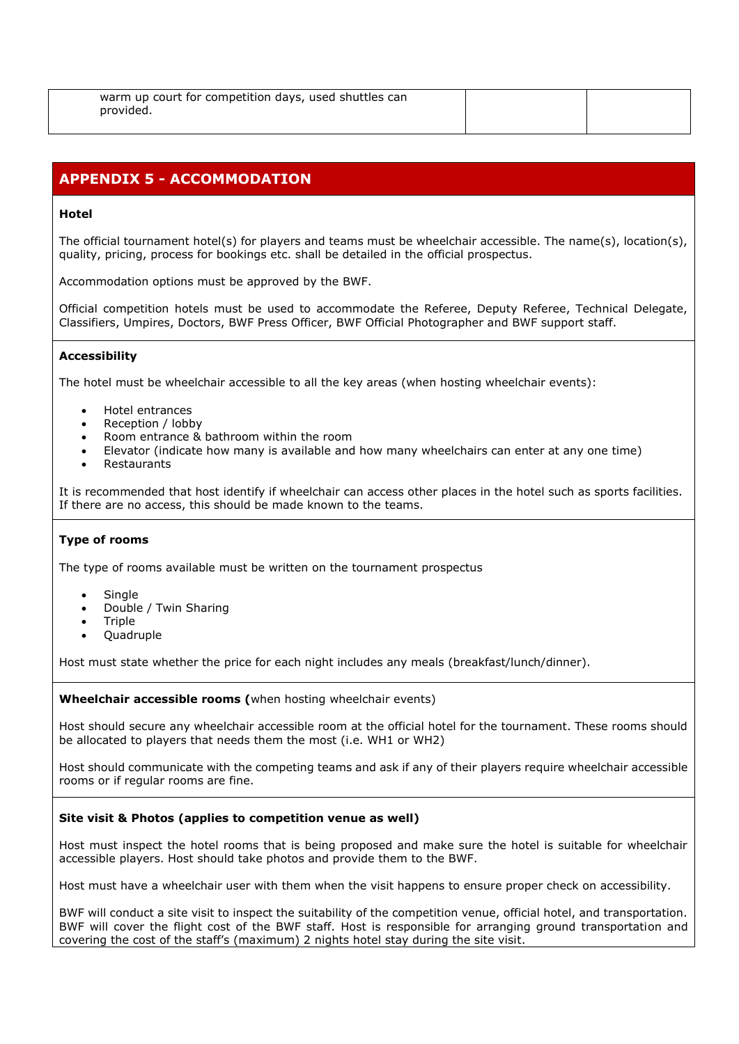| warm up court for competition days, used shuttles can |  |
|-------------------------------------------------------|--|
| provided.                                             |  |
|                                                       |  |

# **APPENDIX 5 - ACCOMMODATION**

# **Hotel**

The official tournament hotel(s) for players and teams must be wheelchair accessible. The name(s), location(s), quality, pricing, process for bookings etc. shall be detailed in the official prospectus.

Accommodation options must be approved by the BWF.

Official competition hotels must be used to accommodate the Referee, Deputy Referee, Technical Delegate, Classifiers, Umpires, Doctors, BWF Press Officer, BWF Official Photographer and BWF support staff.

# **Accessibility**

The hotel must be wheelchair accessible to all the key areas (when hosting wheelchair events):

- Hotel entrances
- Reception / lobby
- Room entrance & bathroom within the room
- Elevator (indicate how many is available and how many wheelchairs can enter at any one time)
- **Restaurants**

It is recommended that host identify if wheelchair can access other places in the hotel such as sports facilities. If there are no access, this should be made known to the teams.

## **Type of rooms**

The type of rooms available must be written on the tournament prospectus

- **Single**
- Double / Twin Sharing
- **Triple**
- Quadruple

Host must state whether the price for each night includes any meals (breakfast/lunch/dinner).

**Wheelchair accessible rooms (**when hosting wheelchair events)

Host should secure any wheelchair accessible room at the official hotel for the tournament. These rooms should be allocated to players that needs them the most (i.e. WH1 or WH2)

Host should communicate with the competing teams and ask if any of their players require wheelchair accessible rooms or if regular rooms are fine.

## **Site visit & Photos (applies to competition venue as well)**

Host must inspect the hotel rooms that is being proposed and make sure the hotel is suitable for wheelchair accessible players. Host should take photos and provide them to the BWF.

Host must have a wheelchair user with them when the visit happens to ensure proper check on accessibility.

BWF will conduct a site visit to inspect the suitability of the competition venue, official hotel, and transportation. BWF will cover the flight cost of the BWF staff. Host is responsible for arranging ground transportation and covering the cost of the staff's (maximum) 2 nights hotel stay during the site visit.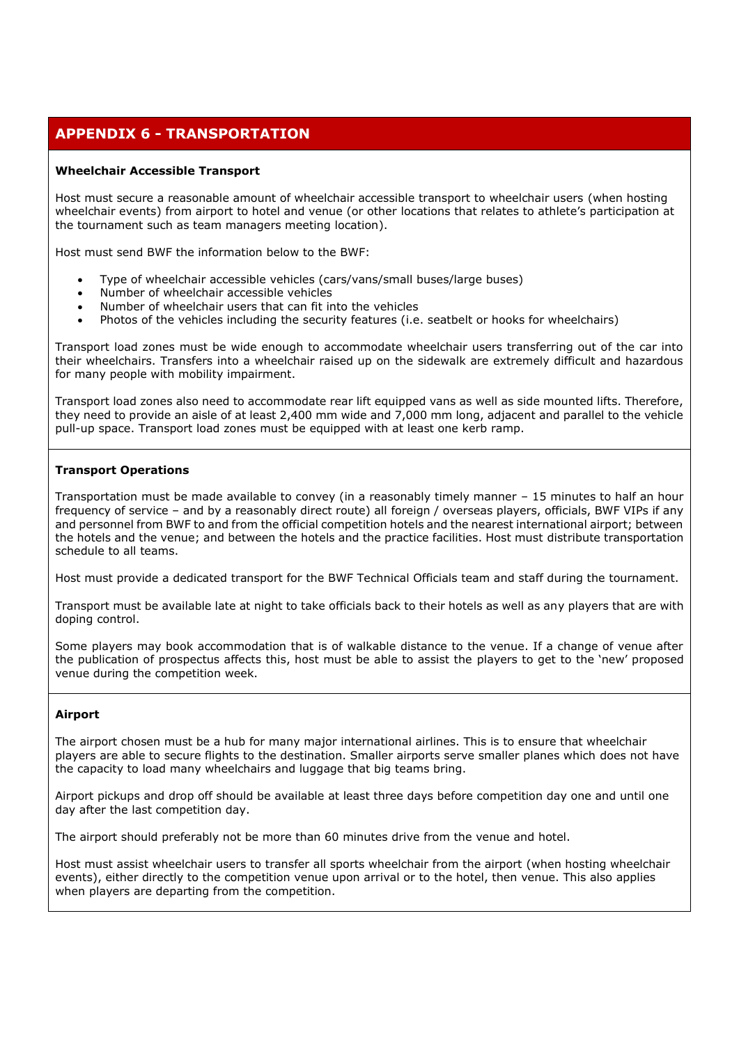# **APPENDIX 6 - TRANSPORTATION**

# **Wheelchair Accessible Transport**

Host must secure a reasonable amount of wheelchair accessible transport to wheelchair users (when hosting wheelchair events) from airport to hotel and venue (or other locations that relates to athlete's participation at the tournament such as team managers meeting location).

Host must send BWF the information below to the BWF:

- Type of wheelchair accessible vehicles (cars/vans/small buses/large buses)
- Number of wheelchair accessible vehicles
- Number of wheelchair users that can fit into the vehicles
- Photos of the vehicles including the security features (i.e. seatbelt or hooks for wheelchairs)

Transport load zones must be wide enough to accommodate wheelchair users transferring out of the car into their wheelchairs. Transfers into a wheelchair raised up on the sidewalk are extremely difficult and hazardous for many people with mobility impairment.

Transport load zones also need to accommodate rear lift equipped vans as well as side mounted lifts. Therefore, they need to provide an aisle of at least 2,400 mm wide and 7,000 mm long, adjacent and parallel to the vehicle pull-up space. Transport load zones must be equipped with at least one kerb ramp.

# **Transport Operations**

Transportation must be made available to convey (in a reasonably timely manner – 15 minutes to half an hour frequency of service – and by a reasonably direct route) all foreign / overseas players, officials, BWF VIPs if any and personnel from BWF to and from the official competition hotels and the nearest international airport; between the hotels and the venue; and between the hotels and the practice facilities. Host must distribute transportation schedule to all teams.

Host must provide a dedicated transport for the BWF Technical Officials team and staff during the tournament.

Transport must be available late at night to take officials back to their hotels as well as any players that are with doping control.

Some players may book accommodation that is of walkable distance to the venue. If a change of venue after the publication of prospectus affects this, host must be able to assist the players to get to the 'new' proposed venue during the competition week.

# **Airport**

The airport chosen must be a hub for many major international airlines. This is to ensure that wheelchair players are able to secure flights to the destination. Smaller airports serve smaller planes which does not have the capacity to load many wheelchairs and luggage that big teams bring.

Airport pickups and drop off should be available at least three days before competition day one and until one day after the last competition day.

The airport should preferably not be more than 60 minutes drive from the venue and hotel.

Host must assist wheelchair users to transfer all sports wheelchair from the airport (when hosting wheelchair events), either directly to the competition venue upon arrival or to the hotel, then venue. This also applies when players are departing from the competition.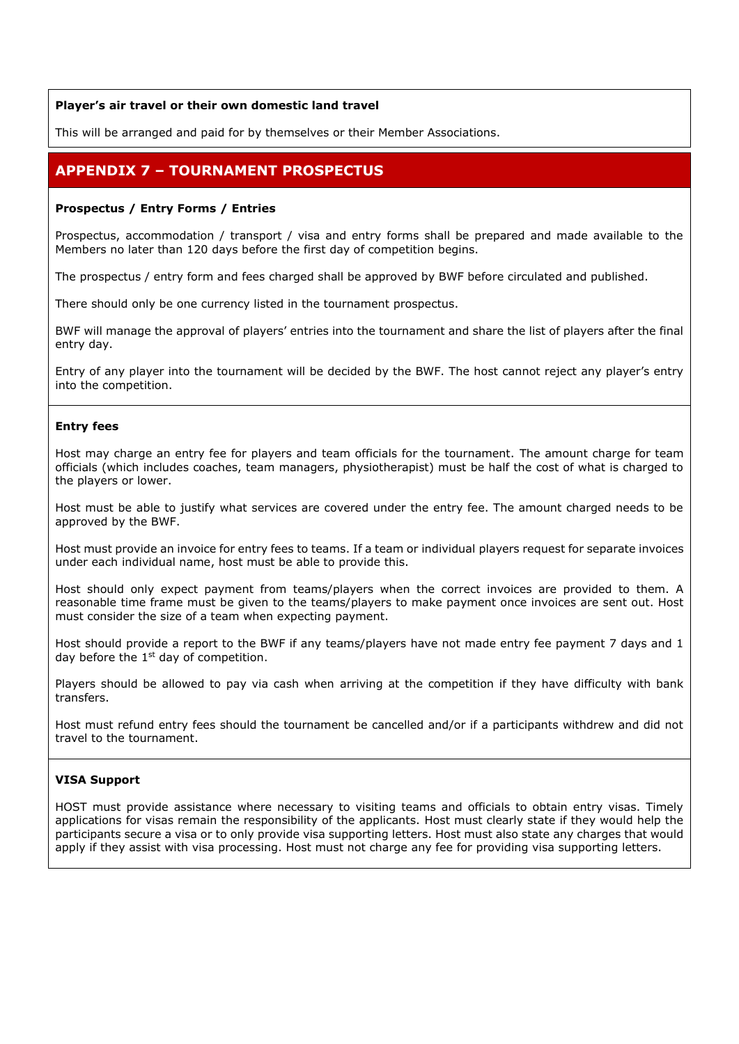# **Player's air travel or their own domestic land travel**

This will be arranged and paid for by themselves or their Member Associations.

# **APPENDIX 7 – TOURNAMENT PROSPECTUS**

## **Prospectus / Entry Forms / Entries**

Prospectus, accommodation / transport / visa and entry forms shall be prepared and made available to the Members no later than 120 days before the first day of competition begins.

The prospectus / entry form and fees charged shall be approved by BWF before circulated and published.

There should only be one currency listed in the tournament prospectus.

BWF will manage the approval of players' entries into the tournament and share the list of players after the final entry day.

Entry of any player into the tournament will be decided by the BWF. The host cannot reject any player's entry into the competition.

## **Entry fees**

Host may charge an entry fee for players and team officials for the tournament. The amount charge for team officials (which includes coaches, team managers, physiotherapist) must be half the cost of what is charged to the players or lower.

Host must be able to justify what services are covered under the entry fee. The amount charged needs to be approved by the BWF.

Host must provide an invoice for entry fees to teams. If a team or individual players request for separate invoices under each individual name, host must be able to provide this.

Host should only expect payment from teams/players when the correct invoices are provided to them. A reasonable time frame must be given to the teams/players to make payment once invoices are sent out. Host must consider the size of a team when expecting payment.

Host should provide a report to the BWF if any teams/players have not made entry fee payment 7 days and 1 day before the  $1<sup>st</sup>$  day of competition.

Players should be allowed to pay via cash when arriving at the competition if they have difficulty with bank transfers.

Host must refund entry fees should the tournament be cancelled and/or if a participants withdrew and did not travel to the tournament.

## **VISA Support**

HOST must provide assistance where necessary to visiting teams and officials to obtain entry visas. Timely applications for visas remain the responsibility of the applicants. Host must clearly state if they would help the participants secure a visa or to only provide visa supporting letters. Host must also state any charges that would apply if they assist with visa processing. Host must not charge any fee for providing visa supporting letters.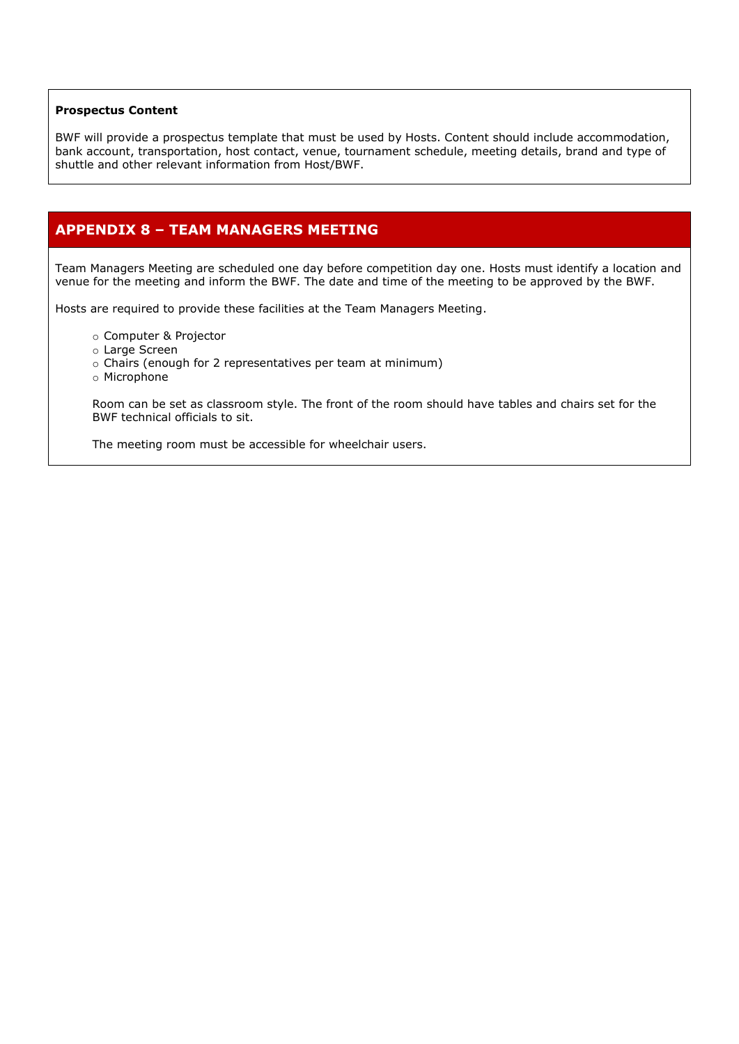#### **Prospectus Content**

BWF will provide a prospectus template that must be used by Hosts. Content should include accommodation, bank account, transportation, host contact, venue, tournament schedule, meeting details, brand and type of shuttle and other relevant information from Host/BWF.

# **APPENDIX 8 – TEAM MANAGERS MEETING**

Team Managers Meeting are scheduled one day before competition day one. Hosts must identify a location and venue for the meeting and inform the BWF. The date and time of the meeting to be approved by the BWF.

Hosts are required to provide these facilities at the Team Managers Meeting.

- o Computer & Projector
- o Large Screen
- o Chairs (enough for 2 representatives per team at minimum)
- o Microphone

Room can be set as classroom style. The front of the room should have tables and chairs set for the BWF technical officials to sit.

The meeting room must be accessible for wheelchair users.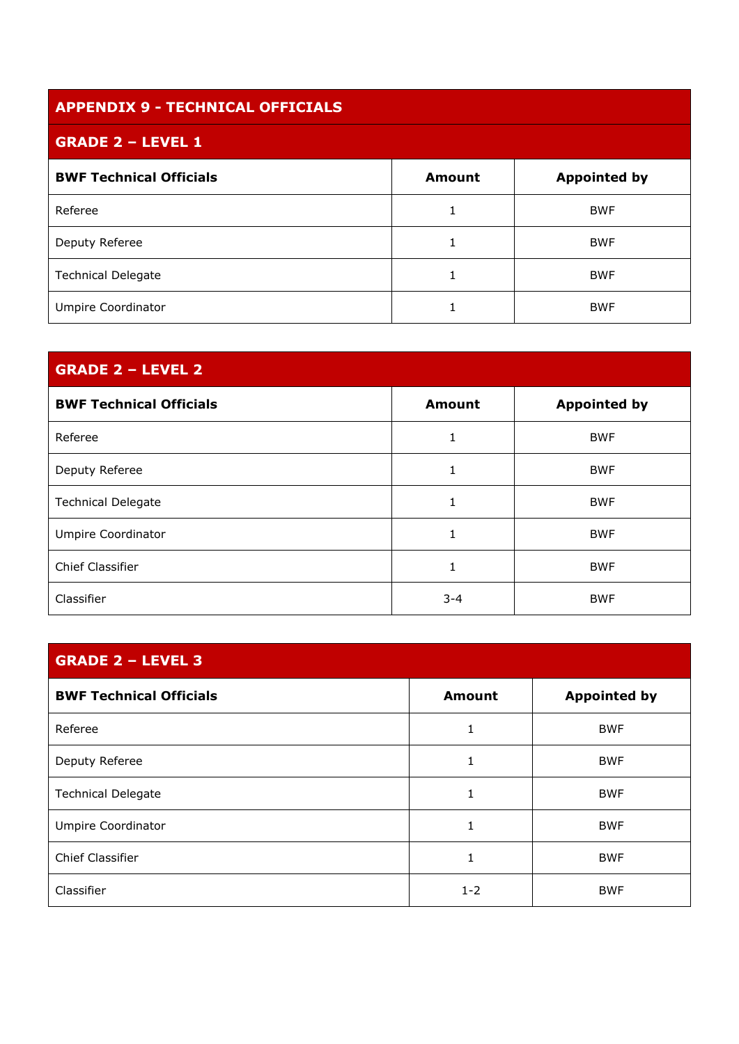| <b>APPENDIX 9 - TECHNICAL OFFICIALS</b> |               |                     |
|-----------------------------------------|---------------|---------------------|
| <b>GRADE 2 - LEVEL 1</b>                |               |                     |
| <b>BWF Technical Officials</b>          | <b>Amount</b> | <b>Appointed by</b> |
| Referee                                 |               | <b>BWF</b>          |
| Deputy Referee                          |               | <b>BWF</b>          |
| <b>Technical Delegate</b>               |               | <b>BWF</b>          |
| Umpire Coordinator                      |               | <b>BWF</b>          |

# **GRADE 2 – LEVEL 2**

| <b>BWF Technical Officials</b> | <b>Amount</b> | <b>Appointed by</b> |
|--------------------------------|---------------|---------------------|
| Referee                        |               | <b>BWF</b>          |
| Deputy Referee                 | 1.            | <b>BWF</b>          |
| <b>Technical Delegate</b>      |               | <b>BWF</b>          |
| <b>Umpire Coordinator</b>      |               | <b>BWF</b>          |
| Chief Classifier               |               | <b>BWF</b>          |
| Classifier                     | $3 - 4$       | <b>BWF</b>          |

# **GRADE 2 – LEVEL 3**

| <b>BWF Technical Officials</b> | <b>Amount</b> | <b>Appointed by</b> |
|--------------------------------|---------------|---------------------|
| Referee                        | T             | <b>BWF</b>          |
| Deputy Referee                 |               | <b>BWF</b>          |
| <b>Technical Delegate</b>      | 1             | <b>BWF</b>          |
| Umpire Coordinator             | 1             | <b>BWF</b>          |
| Chief Classifier               | 1             | <b>BWF</b>          |
| Classifier                     | $1 - 2$       | <b>BWF</b>          |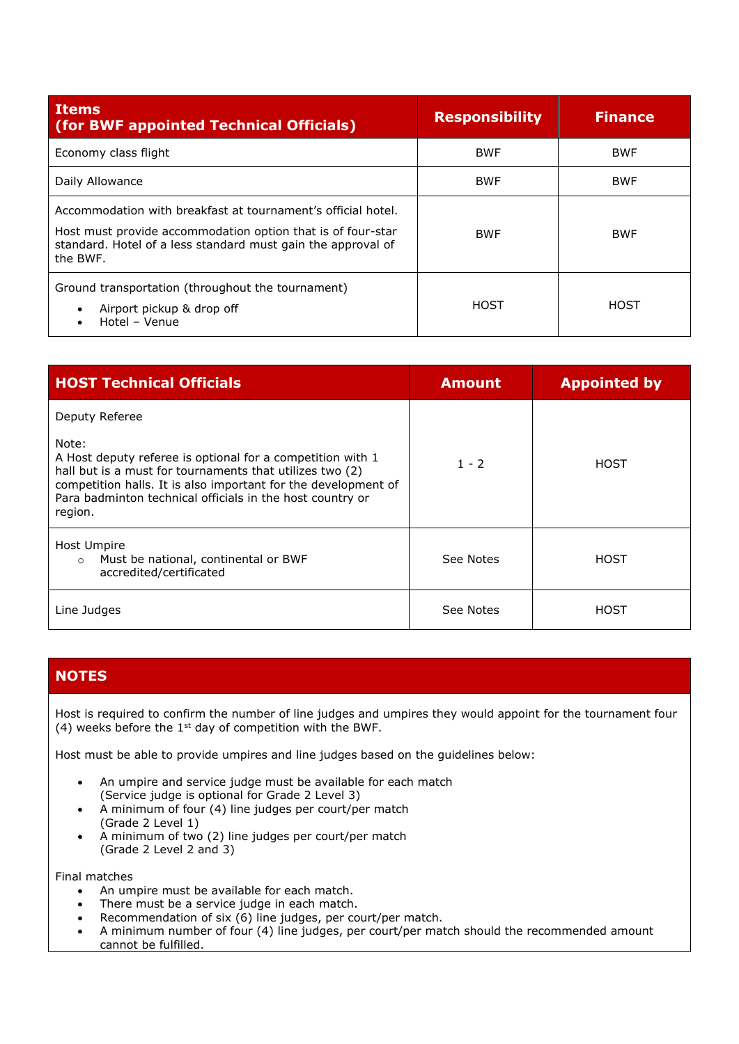| <b>Items</b><br>(for BWF appointed Technical Officials)                                                                                                                                                 | <b>Responsibility</b> | <b>Finance</b> |
|---------------------------------------------------------------------------------------------------------------------------------------------------------------------------------------------------------|-----------------------|----------------|
| Economy class flight                                                                                                                                                                                    | <b>BWF</b>            | <b>BWF</b>     |
| Daily Allowance                                                                                                                                                                                         | <b>BWF</b>            | <b>BWF</b>     |
| Accommodation with breakfast at tournament's official hotel.<br>Host must provide accommodation option that is of four-star<br>standard. Hotel of a less standard must gain the approval of<br>the BWF. | <b>BWF</b>            | <b>BWF</b>     |
| Ground transportation (throughout the tournament)<br>Airport pickup & drop off<br>$\bullet$<br>Hotel - Venue<br>$\bullet$                                                                               | HOST                  | HOST           |

| <b>HOST Technical Officials</b>                                                                                                                                                                                                                                           | <b>Amount</b> | <b>Appointed by</b> |
|---------------------------------------------------------------------------------------------------------------------------------------------------------------------------------------------------------------------------------------------------------------------------|---------------|---------------------|
| Deputy Referee                                                                                                                                                                                                                                                            |               |                     |
| Note:<br>A Host deputy referee is optional for a competition with 1<br>hall but is a must for tournaments that utilizes two (2)<br>competition halls. It is also important for the development of<br>Para badminton technical officials in the host country or<br>region. | $1 - 2$       | <b>HOST</b>         |
| Host Umpire<br>Must be national, continental or BWF<br>$\circ$<br>accredited/certificated                                                                                                                                                                                 | See Notes     | HOST                |
| Line Judges                                                                                                                                                                                                                                                               | See Notes     | HOST                |

# **NOTES**

Host is required to confirm the number of line judges and umpires they would appoint for the tournament four (4) weeks before the  $1<sup>st</sup>$  day of competition with the BWF.

Host must be able to provide umpires and line judges based on the guidelines below:

- An umpire and service judge must be available for each match (Service judge is optional for Grade 2 Level 3)
- A minimum of four (4) line judges per court/per match (Grade 2 Level 1)
- A minimum of two (2) line judges per court/per match (Grade 2 Level 2 and 3)

Final matches

- An umpire must be available for each match.
- There must be a service judge in each match.
- Recommendation of six  $(6)$  line judges, per court/per match.
- A minimum number of four (4) line judges, per court/per match should the recommended amount cannot be fulfilled.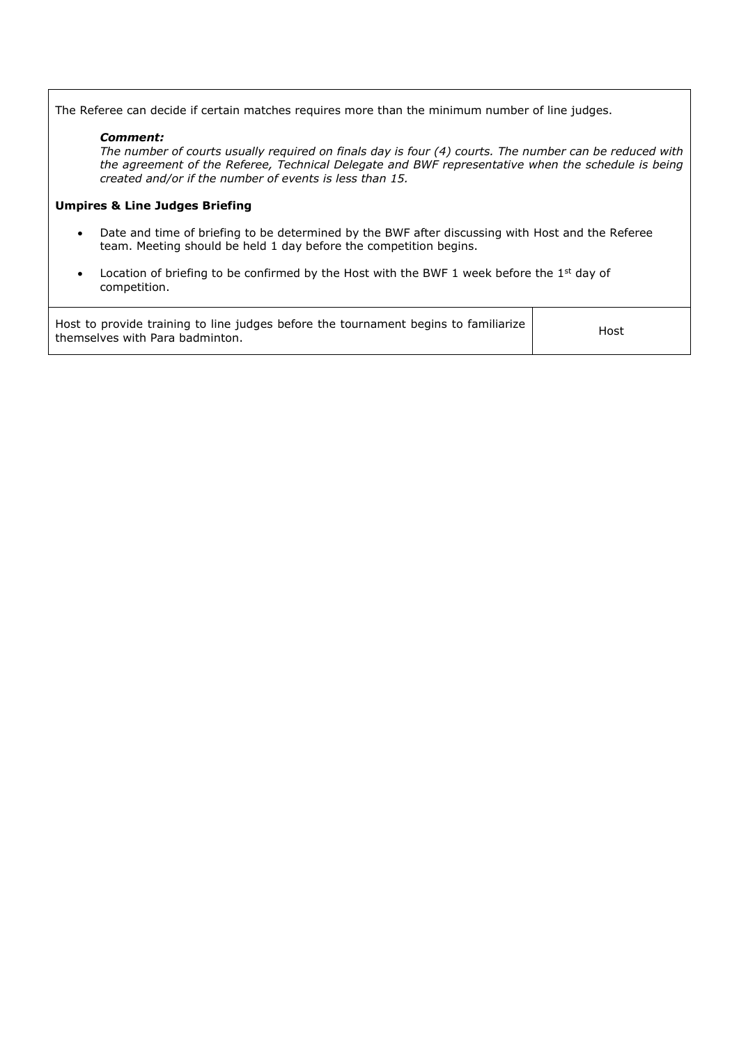The Referee can decide if certain matches requires more than the minimum number of line judges.

## *Comment:*

*The number of courts usually required on finals day is four (4) courts. The number can be reduced with the agreement of the Referee, Technical Delegate and BWF representative when the schedule is being created and/or if the number of events is less than 15.*

# **Umpires & Line Judges Briefing**

- Date and time of briefing to be determined by the BWF after discussing with Host and the Referee team. Meeting should be held 1 day before the competition begins.
- Location of briefing to be confirmed by the Host with the BWF 1 week before the  $1<sup>st</sup>$  day of competition.

| Host to provide training to line judges before the tournament begins to familiarize  <br>themselves with Para badminton. | Host |
|--------------------------------------------------------------------------------------------------------------------------|------|
|--------------------------------------------------------------------------------------------------------------------------|------|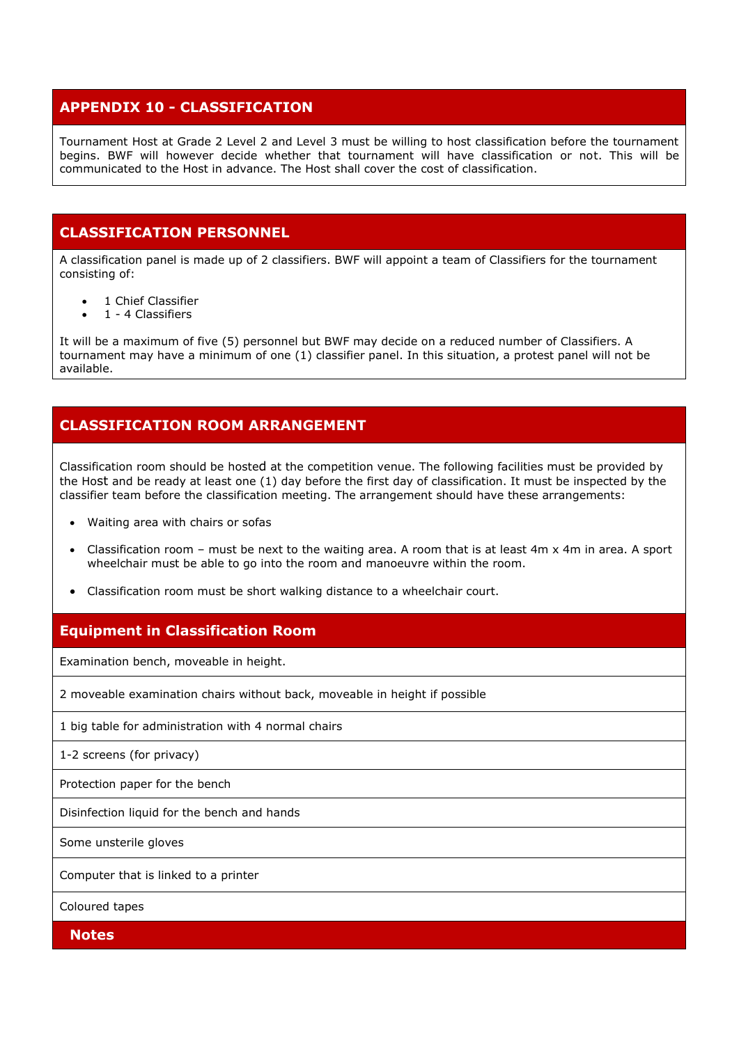# **APPENDIX 10 - CLASSIFICATION**

Tournament Host at Grade 2 Level 2 and Level 3 must be willing to host classification before the tournament begins. BWF will however decide whether that tournament will have classification or not. This will be communicated to the Host in advance. The Host shall cover the cost of classification.

# **CLASSIFICATION PERSONNEL**

A classification panel is made up of 2 classifiers. BWF will appoint a team of Classifiers for the tournament consisting of:

- 1 Chief Classifier
- 1 4 Classifiers

It will be a maximum of five (5) personnel but BWF may decide on a reduced number of Classifiers. A tournament may have a minimum of one (1) classifier panel. In this situation, a protest panel will not be available.

# **CLASSIFICATION ROOM ARRANGEMENT**

Classification room should be hosted at the competition venue. The following facilities must be provided by the Host and be ready at least one (1) day before the first day of classification. It must be inspected by the classifier team before the classification meeting. The arrangement should have these arrangements:

- Waiting area with chairs or sofas
- Classification room must be next to the waiting area. A room that is at least  $4m \times 4m$  in area. A sport wheelchair must be able to go into the room and manoeuvre within the room.
- Classification room must be short walking distance to a wheelchair court.

# **Equipment in Classification Room**

Examination bench, moveable in height.

2 moveable examination chairs without back, moveable in height if possible

1 big table for administration with 4 normal chairs

1-2 screens (for privacy)

Protection paper for the bench

Disinfection liquid for the bench and hands

Some unsterile gloves

Computer that is linked to a printer

Coloured tapes

**Notes**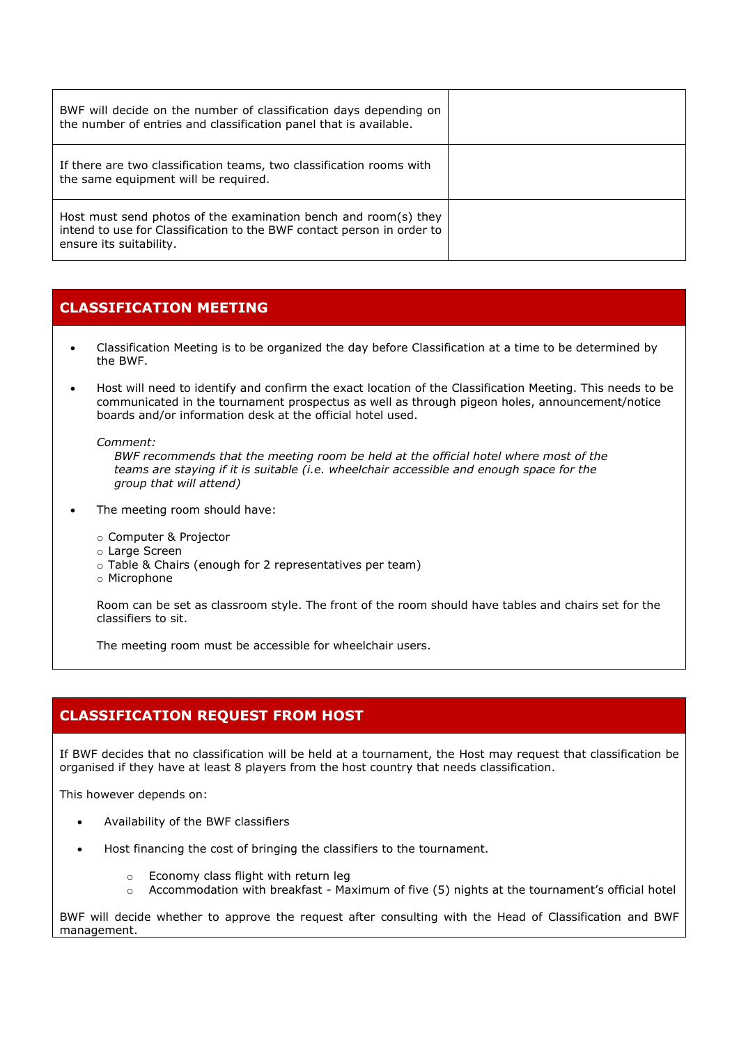| BWF will decide on the number of classification days depending on<br>the number of entries and classification panel that is available.                               |  |
|----------------------------------------------------------------------------------------------------------------------------------------------------------------------|--|
| If there are two classification teams, two classification rooms with<br>the same equipment will be required.                                                         |  |
| Host must send photos of the examination bench and room(s) they<br>intend to use for Classification to the BWF contact person in order to<br>ensure its suitability. |  |

# **CLASSIFICATION MEETING**

- Classification Meeting is to be organized the day before Classification at a time to be determined by the BWF.
- Host will need to identify and confirm the exact location of the Classification Meeting. This needs to be communicated in the tournament prospectus as well as through pigeon holes, announcement/notice boards and/or information desk at the official hotel used.

*Comment:*

*BWF recommends that the meeting room be held at the official hotel where most of the teams are staying if it is suitable (i.e. wheelchair accessible and enough space for the group that will attend)*

- The meeting room should have:
	- o Computer & Projector
	- o Large Screen
	- o Table & Chairs (enough for 2 representatives per team)
	- o Microphone

Room can be set as classroom style. The front of the room should have tables and chairs set for the classifiers to sit.

The meeting room must be accessible for wheelchair users.

# **CLASSIFICATION REQUEST FROM HOST**

If BWF decides that no classification will be held at a tournament, the Host may request that classification be organised if they have at least 8 players from the host country that needs classification.

This however depends on:

- Availability of the BWF classifiers
- Host financing the cost of bringing the classifiers to the tournament.
	- o Economy class flight with return leg
	- $\circ$  Accommodation with breakfast Maximum of five (5) nights at the tournament's official hotel

BWF will decide whether to approve the request after consulting with the Head of Classification and BWF management.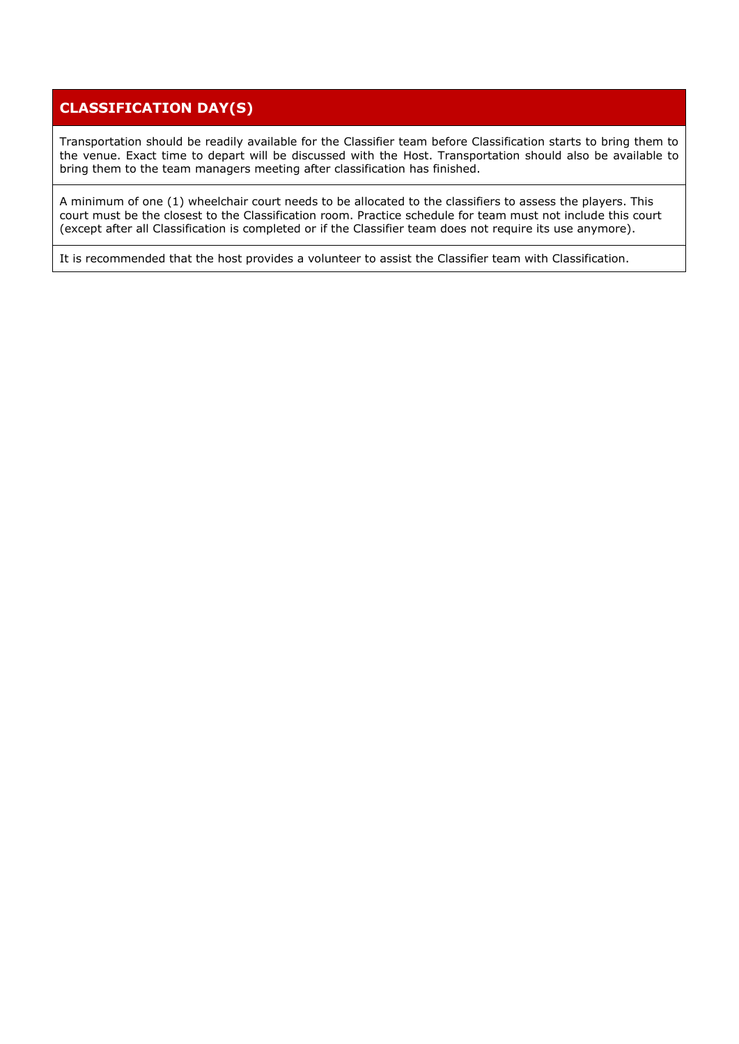# **CLASSIFICATION DAY(S)**

Transportation should be readily available for the Classifier team before Classification starts to bring them to the venue. Exact time to depart will be discussed with the Host. Transportation should also be available to bring them to the team managers meeting after classification has finished.

A minimum of one (1) wheelchair court needs to be allocated to the classifiers to assess the players. This court must be the closest to the Classification room. Practice schedule for team must not include this court (except after all Classification is completed or if the Classifier team does not require its use anymore).

It is recommended that the host provides a volunteer to assist the Classifier team with Classification.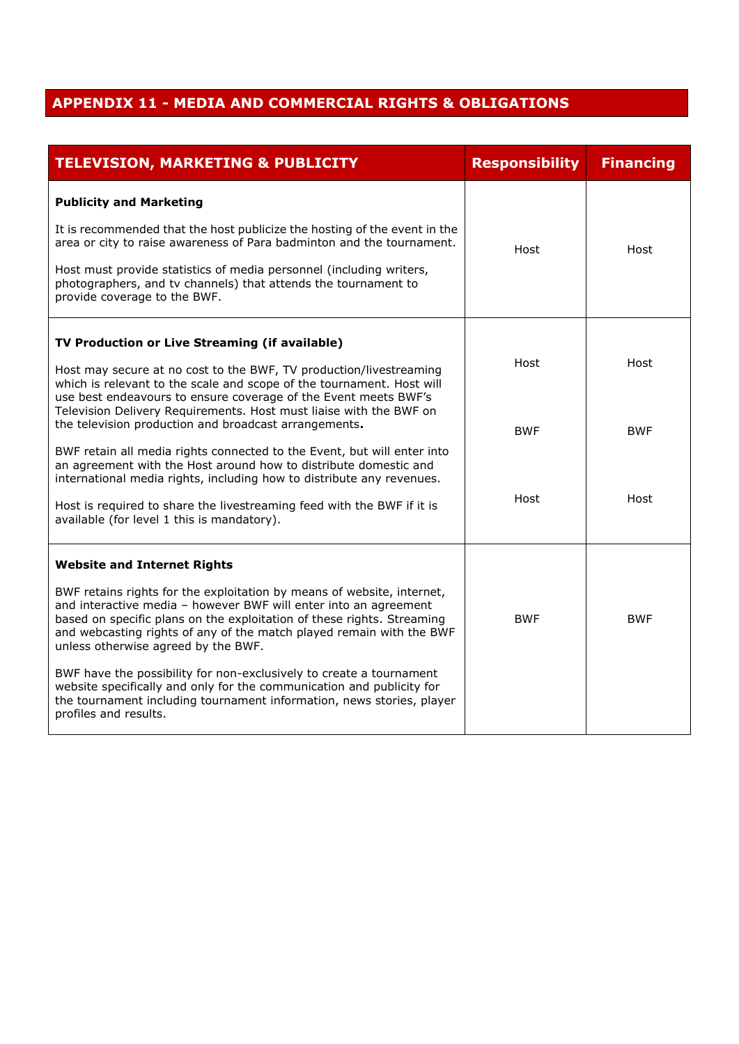# **APPENDIX 11 - MEDIA AND COMMERCIAL RIGHTS & OBLIGATIONS**

| <b>TELEVISION, MARKETING &amp; PUBLICITY</b>                                                                                                                                                                                                                                                                                        | <b>Responsibility</b> | <b>Financing</b> |
|-------------------------------------------------------------------------------------------------------------------------------------------------------------------------------------------------------------------------------------------------------------------------------------------------------------------------------------|-----------------------|------------------|
| <b>Publicity and Marketing</b>                                                                                                                                                                                                                                                                                                      |                       |                  |
| It is recommended that the host publicize the hosting of the event in the<br>area or city to raise awareness of Para badminton and the tournament.                                                                                                                                                                                  | Host                  | Host             |
| Host must provide statistics of media personnel (including writers,<br>photographers, and tv channels) that attends the tournament to<br>provide coverage to the BWF.                                                                                                                                                               |                       |                  |
| TV Production or Live Streaming (if available)                                                                                                                                                                                                                                                                                      |                       |                  |
| Host may secure at no cost to the BWF, TV production/livestreaming<br>which is relevant to the scale and scope of the tournament. Host will<br>use best endeavours to ensure coverage of the Event meets BWF's                                                                                                                      | Host                  | Host             |
| Television Delivery Requirements. Host must liaise with the BWF on<br>the television production and broadcast arrangements.                                                                                                                                                                                                         | <b>BWF</b>            | <b>BWF</b>       |
| BWF retain all media rights connected to the Event, but will enter into<br>an agreement with the Host around how to distribute domestic and<br>international media rights, including how to distribute any revenues.                                                                                                                |                       |                  |
| Host is required to share the livestreaming feed with the BWF if it is<br>available (for level 1 this is mandatory).                                                                                                                                                                                                                | Host                  | Host             |
| <b>Website and Internet Rights</b>                                                                                                                                                                                                                                                                                                  |                       |                  |
| BWF retains rights for the exploitation by means of website, internet,<br>and interactive media - however BWF will enter into an agreement<br>based on specific plans on the exploitation of these rights. Streaming<br>and webcasting rights of any of the match played remain with the BWF<br>unless otherwise agreed by the BWF. | <b>BWF</b>            | <b>BWF</b>       |
| BWF have the possibility for non-exclusively to create a tournament<br>website specifically and only for the communication and publicity for<br>the tournament including tournament information, news stories, player<br>profiles and results.                                                                                      |                       |                  |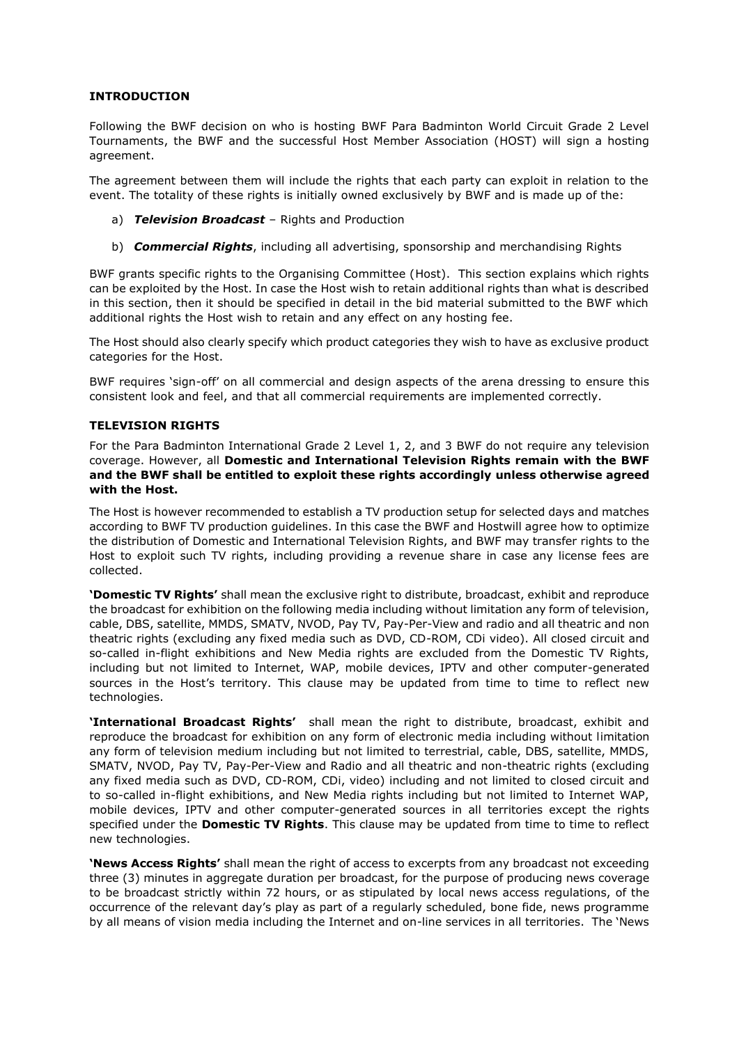# **INTRODUCTION**

Following the BWF decision on who is hosting BWF Para Badminton World Circuit Grade 2 Level Tournaments, the BWF and the successful Host Member Association (HOST) will sign a hosting agreement.

The agreement between them will include the rights that each party can exploit in relation to the event. The totality of these rights is initially owned exclusively by BWF and is made up of the:

- a) *Television Broadcast* Rights and Production
- b) *Commercial Rights*, including all advertising, sponsorship and merchandising Rights

BWF grants specific rights to the Organising Committee (Host). This section explains which rights can be exploited by the Host. In case the Host wish to retain additional rights than what is described in this section, then it should be specified in detail in the bid material submitted to the BWF which additional rights the Host wish to retain and any effect on any hosting fee.

The Host should also clearly specify which product categories they wish to have as exclusive product categories for the Host.

BWF requires 'sign-off' on all commercial and design aspects of the arena dressing to ensure this consistent look and feel, and that all commercial requirements are implemented correctly.

## **TELEVISION RIGHTS**

For the Para Badminton International Grade 2 Level 1, 2, and 3 BWF do not require any television coverage. However, all **Domestic and International Television Rights remain with the BWF and the BWF shall be entitled to exploit these rights accordingly unless otherwise agreed with the Host.**

The Host is however recommended to establish a TV production setup for selected days and matches according to BWF TV production guidelines. In this case the BWF and Hostwill agree how to optimize the distribution of Domestic and International Television Rights, and BWF may transfer rights to the Host to exploit such TV rights, including providing a revenue share in case any license fees are collected.

**'Domestic TV Rights'** shall mean the exclusive right to distribute, broadcast, exhibit and reproduce the broadcast for exhibition on the following media including without limitation any form of television, cable, DBS, satellite, MMDS, SMATV, NVOD, Pay TV, Pay-Per-View and radio and all theatric and non theatric rights (excluding any fixed media such as DVD, CD-ROM, CDi video). All closed circuit and so-called in-flight exhibitions and New Media rights are excluded from the Domestic TV Rights, including but not limited to Internet, WAP, mobile devices, IPTV and other computer-generated sources in the Host's territory. This clause may be updated from time to time to reflect new technologies.

**'International Broadcast Rights'** shall mean the right to distribute, broadcast, exhibit and reproduce the broadcast for exhibition on any form of electronic media including without limitation any form of television medium including but not limited to terrestrial, cable, DBS, satellite, MMDS, SMATV, NVOD, Pay TV, Pay-Per-View and Radio and all theatric and non-theatric rights (excluding any fixed media such as DVD, CD-ROM, CDi, video) including and not limited to closed circuit and to so-called in-flight exhibitions, and New Media rights including but not limited to Internet WAP, mobile devices, IPTV and other computer-generated sources in all territories except the rights specified under the **Domestic TV Rights**. This clause may be updated from time to time to reflect new technologies.

**'News Access Rights'** shall mean the right of access to excerpts from any broadcast not exceeding three (3) minutes in aggregate duration per broadcast, for the purpose of producing news coverage to be broadcast strictly within 72 hours, or as stipulated by local news access regulations, of the occurrence of the relevant day's play as part of a regularly scheduled, bone fide, news programme by all means of vision media including the Internet and on-line services in all territories. The 'News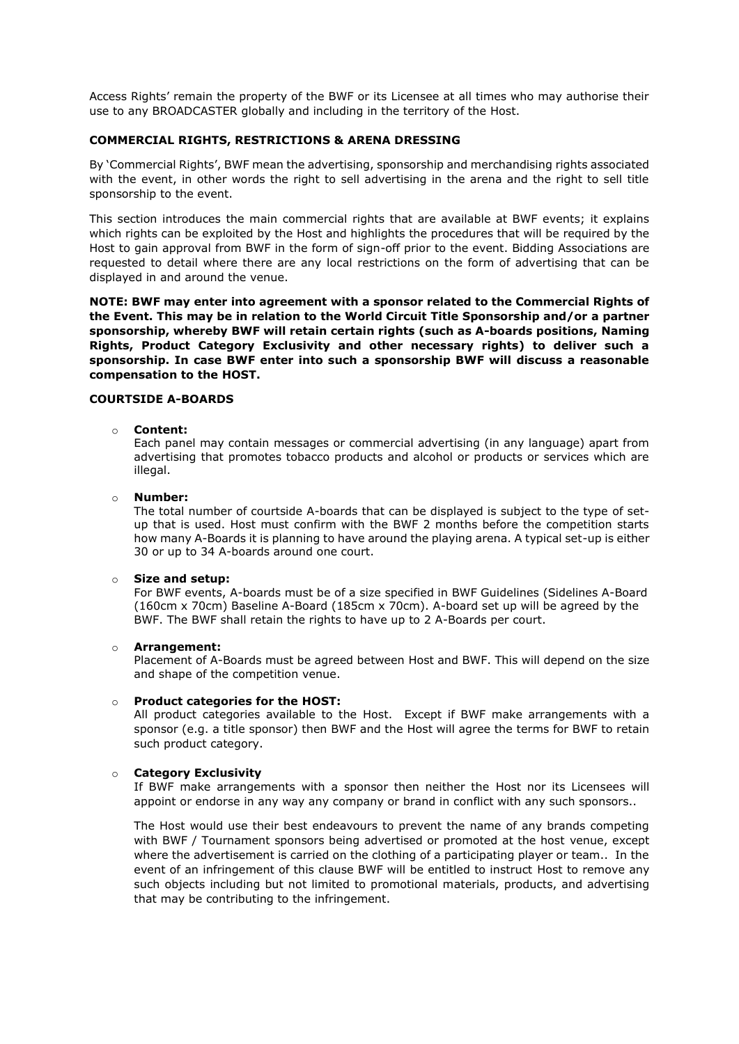Access Rights' remain the property of the BWF or its Licensee at all times who may authorise their use to any BROADCASTER globally and including in the territory of the Host.

#### **COMMERCIAL RIGHTS, RESTRICTIONS & ARENA DRESSING**

By 'Commercial Rights', BWF mean the advertising, sponsorship and merchandising rights associated with the event, in other words the right to sell advertising in the arena and the right to sell title sponsorship to the event.

This section introduces the main commercial rights that are available at BWF events; it explains which rights can be exploited by the Host and highlights the procedures that will be required by the Host to gain approval from BWF in the form of sign-off prior to the event. Bidding Associations are requested to detail where there are any local restrictions on the form of advertising that can be displayed in and around the venue.

**NOTE: BWF may enter into agreement with a sponsor related to the Commercial Rights of the Event. This may be in relation to the World Circuit Title Sponsorship and/or a partner sponsorship, whereby BWF will retain certain rights (such as A-boards positions, Naming Rights, Product Category Exclusivity and other necessary rights) to deliver such a sponsorship. In case BWF enter into such a sponsorship BWF will discuss a reasonable compensation to the HOST.** 

#### **COURTSIDE A-BOARDS**

#### o **Content:**

Each panel may contain messages or commercial advertising (in any language) apart from advertising that promotes tobacco products and alcohol or products or services which are illegal.

#### o **Number:**

The total number of courtside A-boards that can be displayed is subject to the type of setup that is used. Host must confirm with the BWF 2 months before the competition starts how many A-Boards it is planning to have around the playing arena. A typical set-up is either 30 or up to 34 A-boards around one court.

#### o **Size and setup:**

For BWF events, A-boards must be of a size specified in BWF Guidelines (Sidelines A-Board (160cm x 70cm) Baseline A-Board (185cm x 70cm). A-board set up will be agreed by the BWF. The BWF shall retain the rights to have up to 2 A-Boards per court.

#### o **Arrangement:**

Placement of A-Boards must be agreed between Host and BWF. This will depend on the size and shape of the competition venue.

#### o **Product categories for the HOST:**

All product categories available to the Host. Except if BWF make arrangements with a sponsor (e.g. a title sponsor) then BWF and the Host will agree the terms for BWF to retain such product category.

#### o **Category Exclusivity**

If BWF make arrangements with a sponsor then neither the Host nor its Licensees will appoint or endorse in any way any company or brand in conflict with any such sponsors..

The Host would use their best endeavours to prevent the name of any brands competing with BWF / Tournament sponsors being advertised or promoted at the host venue, except where the advertisement is carried on the clothing of a participating player or team.. In the event of an infringement of this clause BWF will be entitled to instruct Host to remove any such objects including but not limited to promotional materials, products, and advertising that may be contributing to the infringement.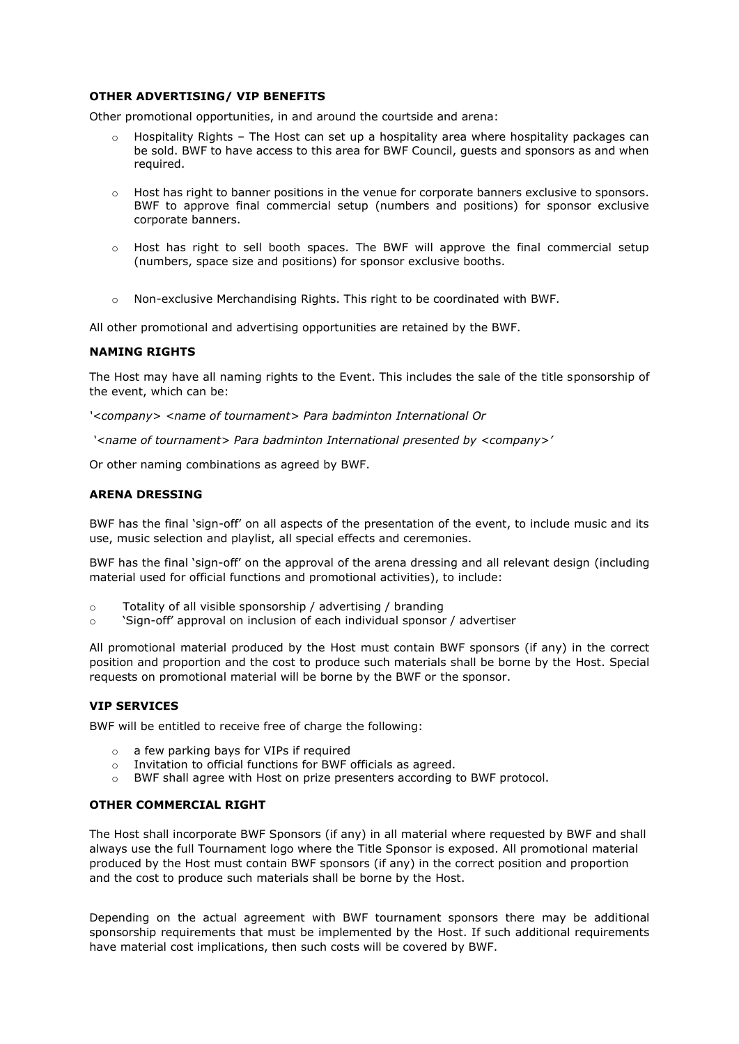## **OTHER ADVERTISING/ VIP BENEFITS**

Other promotional opportunities, in and around the courtside and arena:

- $\circ$  Hospitality Rights The Host can set up a hospitality area where hospitality packages can be sold. BWF to have access to this area for BWF Council, guests and sponsors as and when required.
- o Host has right to banner positions in the venue for corporate banners exclusive to sponsors. BWF to approve final commercial setup (numbers and positions) for sponsor exclusive corporate banners.
- $\circ$  Host has right to sell booth spaces. The BWF will approve the final commercial setup (numbers, space size and positions) for sponsor exclusive booths.
- $\circ$  Non-exclusive Merchandising Rights. This right to be coordinated with BWF.

All other promotional and advertising opportunities are retained by the BWF.

## **NAMING RIGHTS**

The Host may have all naming rights to the Event. This includes the sale of the title sponsorship of the event, which can be:

*'<company> <name of tournament> Para badminton International Or*

*'<name of tournament> Para badminton International presented by <company>'*

Or other naming combinations as agreed by BWF.

## **ARENA DRESSING**

BWF has the final 'sign-off' on all aspects of the presentation of the event, to include music and its use, music selection and playlist, all special effects and ceremonies.

BWF has the final 'sign-off' on the approval of the arena dressing and all relevant design (including material used for official functions and promotional activities), to include:

- o Totality of all visible sponsorship / advertising / branding
- o 'Sign-off' approval on inclusion of each individual sponsor / advertiser

All promotional material produced by the Host must contain BWF sponsors (if any) in the correct position and proportion and the cost to produce such materials shall be borne by the Host. Special requests on promotional material will be borne by the BWF or the sponsor.

## **VIP SERVICES**

BWF will be entitled to receive free of charge the following:

- o a few parking bays for VIPs if required
- o Invitation to official functions for BWF officials as agreed.
- o BWF shall agree with Host on prize presenters according to BWF protocol.

## **OTHER COMMERCIAL RIGHT**

The Host shall incorporate BWF Sponsors (if any) in all material where requested by BWF and shall always use the full Tournament logo where the Title Sponsor is exposed. All promotional material produced by the Host must contain BWF sponsors (if any) in the correct position and proportion and the cost to produce such materials shall be borne by the Host.

Depending on the actual agreement with BWF tournament sponsors there may be additional sponsorship requirements that must be implemented by the Host. If such additional requirements have material cost implications, then such costs will be covered by BWF.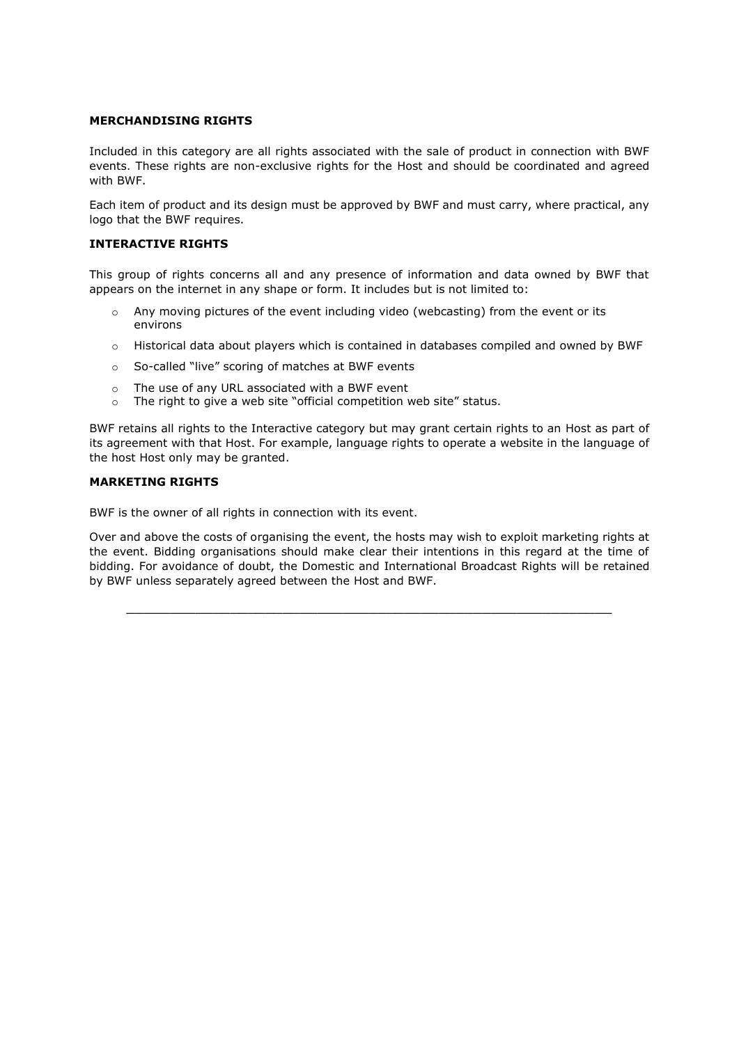# **MERCHANDISING RIGHTS**

Included in this category are all rights associated with the sale of product in connection with BWF events. These rights are non-exclusive rights for the Host and should be coordinated and agreed with BWF.

Each item of product and its design must be approved by BWF and must carry, where practical, any logo that the BWF requires.

## **INTERACTIVE RIGHTS**

This group of rights concerns all and any presence of information and data owned by BWF that appears on the internet in any shape or form. It includes but is not limited to:

- $\circ$  Any moving pictures of the event including video (webcasting) from the event or its environs
- o Historical data about players which is contained in databases compiled and owned by BWF
- o So-called "live" scoring of matches at BWF events
- o The use of any URL associated with a BWF event
- o The right to give a web site "official competition web site" status.

BWF retains all rights to the Interactive category but may grant certain rights to an Host as part of its agreement with that Host. For example, language rights to operate a website in the language of the host Host only may be granted.

# **MARKETING RIGHTS**

BWF is the owner of all rights in connection with its event.

Over and above the costs of organising the event, the hosts may wish to exploit marketing rights at the event. Bidding organisations should make clear their intentions in this regard at the time of bidding. For avoidance of doubt, the Domestic and International Broadcast Rights will be retained by BWF unless separately agreed between the Host and BWF.

 $\_$  , and the set of the set of the set of the set of the set of the set of the set of the set of the set of the set of the set of the set of the set of the set of the set of the set of the set of the set of the set of th